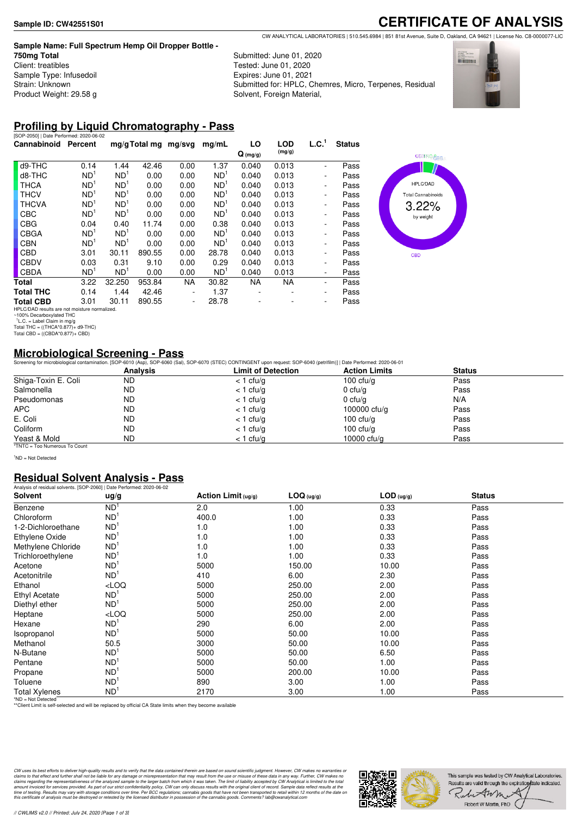### **Sample Name: Full Spectrum Hemp Oil Dropper Bottle -**

- **750mg Total**
- Client: treatibles Sample Type: Infusedoil Strain: Unknown Product Weight: 29.58 g

Submitted: June 01, 2020 Tested: June 01, 2020 Expires: June 01, 2021 Submitted for: HPLC, Chemres, Micro, Terpenes, Residual Solvent, Foreign Material,

## **CERTIFICATE OF ANALYSIS** CW ANALYTICAL LABORATORIES | 510.545.6984 | 851 81st Avenue, Suite D, Oakland, CA 94621 | License No. C8-0000077-LIC



## **Profiling by Liquid Chromatography - Pass**

| [SOP-2050]   Date Performed: 2020-06-02      |                 |                 |        |                              |                 |                          |                      |                   |               |  |
|----------------------------------------------|-----------------|-----------------|--------|------------------------------|-----------------|--------------------------|----------------------|-------------------|---------------|--|
| Cannabinoid                                  | Percent         |                 |        | mg/gTotal mg mg/svg          | mg/mL           | LO                       | <b>LOD</b><br>(mg/g) | L.C. <sup>1</sup> | <b>Status</b> |  |
|                                              |                 |                 |        |                              |                 | $Q$ (mg/g)               |                      |                   |               |  |
| d9-THC                                       | 0.14            | 1.44            | 42.46  | 0.00                         | 1.37            | 0.040                    | 0.013                | ٠                 | Pass          |  |
| d8-THC                                       | ND <sup>1</sup> | ND <sup>1</sup> | 0.00   | 0.00                         | ND <sup>1</sup> | 0.040                    | 0.013                | Ξ.                | Pass          |  |
| <b>THCA</b>                                  | ND <sup>1</sup> | ND <sup>1</sup> | 0.00   | 0.00                         | ND <sup>1</sup> | 0.040                    | 0.013                | Ξ.                | Pass          |  |
| <b>THCV</b>                                  | ND <sup>1</sup> | ND <sup>1</sup> | 0.00   | 0.00                         | ND <sup>1</sup> | 0.040                    | 0.013                | Ξ.                | Pass          |  |
| <b>THCVA</b>                                 | ND <sup>1</sup> | ND <sup>1</sup> | 0.00   | 0.00                         | ND <sup>1</sup> | 0.040                    | 0.013                | Ξ.                | Pass          |  |
| <b>CBC</b>                                   | ND <sup>1</sup> | ND <sup>1</sup> | 0.00   | 0.00                         | ND <sup>1</sup> | 0.040                    | 0.013                | Ξ.                | Pass          |  |
| <b>CBG</b>                                   | 0.04            | 0.40            | 11.74  | 0.00                         | 0.38            | 0.040                    | 0.013                | ۰                 | Pass          |  |
| <b>CBGA</b>                                  | ND <sup>1</sup> | ND <sup>1</sup> | 0.00   | 0.00                         | ND <sup>1</sup> | 0.040                    | 0.013                | -                 | Pass          |  |
| <b>CBN</b>                                   | ND <sup>1</sup> | ND <sup>1</sup> | 0.00   | 0.00                         | ND <sup>1</sup> | 0.040                    | 0.013                | -                 | Pass          |  |
| <b>CBD</b>                                   | 3.01            | 30.11           | 890.55 | 0.00                         | 28.78           | 0.040                    | 0.013                | -                 | Pass          |  |
| <b>CBDV</b>                                  | 0.03            | 0.31            | 9.10   | 0.00                         | 0.29            | 0.040                    | 0.013                | -                 | Pass          |  |
| <b>CBDA</b>                                  | ND <sup>1</sup> | ND <sup>1</sup> | 0.00   | 0.00                         | ND <sup>1</sup> | 0.040                    | 0.013                | -                 | Pass          |  |
| Total                                        | 3.22            | 32.250          | 953.84 | <b>NA</b>                    | 30.82           | <b>NA</b>                | <b>NA</b>            | Ξ.                | Pass          |  |
| <b>Total THC</b>                             | 0.14            | 1.44            | 42.46  | $\qquad \qquad \blacksquare$ | 1.37            | $\overline{\phantom{a}}$ | ۰                    | -                 | Pass          |  |
| <b>Total CBD</b>                             | 3.01            | 30.11           | 890.55 | -                            | 28.78           |                          |                      | ۰                 | Pass          |  |
| HPLC/DAD results are not moisture nermalized |                 |                 |        |                              |                 |                          |                      |                   |               |  |



HPLC/DAD results are not moisture normalized.<br>~100% Decarboxylated THC<br><sup>-1</sup>L.C. = Label Claim in mg/g

Total THC = ((THCA\*0.877)+ d9-THC) Total CBD = ((CBDA\*0.877)+ CBD)

### **Microbiological Screening - Pass**

Screening for microbiological contamination. [SOP-6010 (Asp), SOP-6060 (Sal), SOP-6070 (STEC) CONTINGENT upon request: SOP-6040 (petrifilm)] | Date Performed: 2020-06-01

|                               | <b>Analysis</b> | <b>Limit of Detection</b> | <b>Action Limits</b> | <b>Status</b> |  |
|-------------------------------|-----------------|---------------------------|----------------------|---------------|--|
| Shiga-Toxin E. Coli           | <b>ND</b>       | $<$ 1 cfu/g               | $100 \text{ ctu/g}$  | Pass          |  |
| Salmonella                    | <b>ND</b>       | $<$ 1 cfu/g               | $0 \text{ c}$ fu/g   | Pass          |  |
| Pseudomonas                   | <b>ND</b>       | $<$ 1 cfu/g               | $0 \text{ c}$ fu/g   | N/A           |  |
| <b>APC</b>                    | <b>ND</b>       | $<$ 1 cfu/g               | 100000 $ctu/g$       | Pass          |  |
| E. Coli                       | <b>ND</b>       | $<$ 1 cfu/g               | 100 $ctu/a$          | Pass          |  |
| Coliform                      | <b>ND</b>       | $<$ 1 cfu/g               | $100 \text{ ctu/g}$  | Pass          |  |
| Yeast & Mold                  | <b>ND</b>       | $<$ 1 cfu/g               | 10000 cfu/g          | Pass          |  |
| *TNTC = Too Numerous To Count |                 |                           |                      |               |  |

 $1<sup>1</sup>ND = Not Detection$ 

### **Residual Solvent Analysis - Pass**

| Analysis of residual solvents. [SOP-2060]   Date Performed: 2020-06-02 |                 |                       |            |              |               |  |
|------------------------------------------------------------------------|-----------------|-----------------------|------------|--------------|---------------|--|
| Solvent                                                                | ug/g            | Action Limit $(uq/q)$ | LOG (ug/g) | $LOD$ (ug/g) | <b>Status</b> |  |
| Benzene                                                                | ND <sup>1</sup> | 2.0                   | 1.00       | 0.33         | Pass          |  |
| Chloroform                                                             | ND <sup>1</sup> | 400.0                 | 1.00       | 0.33         | Pass          |  |
| 1-2-Dichloroethane                                                     | ND <sup>1</sup> | 1.0                   | 1.00       | 0.33         | Pass          |  |
| Ethylene Oxide                                                         | ND <sup>1</sup> | 1.0                   | 1.00       | 0.33         | Pass          |  |
| Methylene Chloride                                                     | ND <sup>1</sup> | 1.0                   | 1.00       | 0.33         | Pass          |  |
| Trichloroethylene                                                      | ND <sup>1</sup> | 1.0                   | 1.00       | 0.33         | Pass          |  |
| Acetone                                                                | ND <sup>1</sup> | 5000                  | 150.00     | 10.00        | Pass          |  |
| Acetonitrile                                                           | ND <sup>1</sup> | 410                   | 6.00       | 2.30         | Pass          |  |
| Ethanol                                                                | LOO             | 5000                  | 250.00     | 2.00         | Pass          |  |
| <b>Ethyl Acetate</b>                                                   | ND <sup>1</sup> | 5000                  | 250.00     | 2.00         | Pass          |  |
| Diethyl ether                                                          | ND <sup>1</sup> | 5000                  | 250.00     | 2.00         | Pass          |  |
| Heptane                                                                | LOO             | 5000                  | 250.00     | 2.00         | Pass          |  |
| Hexane                                                                 | ND <sup>1</sup> | 290                   | 6.00       | 2.00         | Pass          |  |
| Isopropanol                                                            | ND <sup>1</sup> | 5000                  | 50.00      | 10.00        | Pass          |  |
| Methanol                                                               | 50.5            | 3000                  | 50.00      | 10.00        | Pass          |  |
| N-Butane                                                               | ND <sup>1</sup> | 5000                  | 50.00      | 6.50         | Pass          |  |
| Pentane                                                                | ND <sup>1</sup> | 5000                  | 50.00      | 1.00         | Pass          |  |
| Propane                                                                | ND <sup>1</sup> | 5000                  | 200.00     | 10.00        | Pass          |  |
| Toluene                                                                | ND <sup>1</sup> | 890                   | 3.00       | 1.00         | Pass          |  |
| <b>Total Xylenes</b>                                                   | ND <sup>1</sup> | 2170                  | 3.00       | 1.00         | Pass          |  |

\*ND = Not Detected

\*\*Client Limit is self-selected and will be replaced by official CA State limits when they become available

CW uses its best efforts to deliver high-quality results and to verify that the data contained therein are based on sound scientific judgment. However, CW makes no warranties or<br>claims to that effect and turther shall not

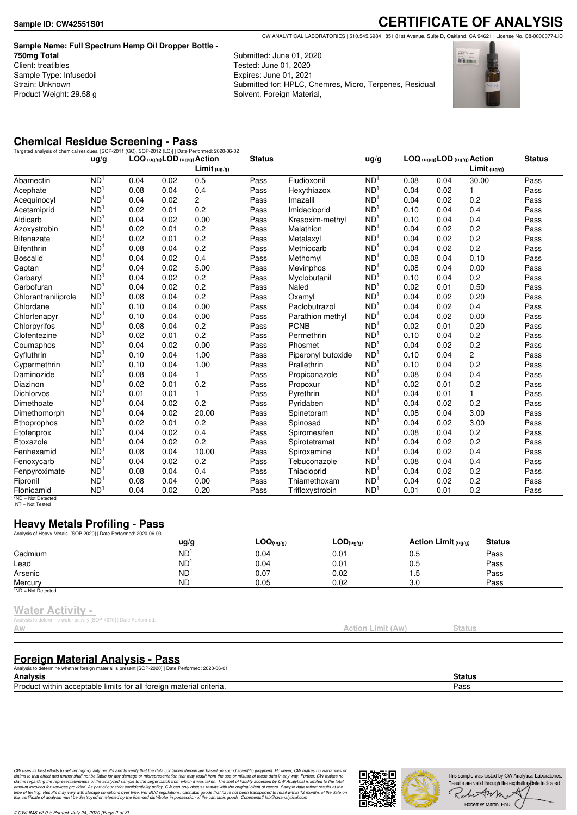## **Sample Name: Full Spectrum Hemp Oil Dropper Bottle -**

**750mg Total** Client: treatibles Sample Type: Infusedoil Strain: Unknown Product Weight: 29.58 g

**CERTIFICATE OF ANALYSIS** CW ANALYTICAL LABORATORIES | 510.545.6984 | 851 81st Avenue, Suite D, Oakland, CA 94621 | License No. C8-0000077-LIC

Submitted: June 01, 2020 Tested: June 01, 2020 Expires: June 01, 2021 Submitted for: HPLC, Chemres, Micro, Terpenes, Residual Solvent, Foreign Material,



## **Chemical Residue Screening - Pass**

| 2020-06-02 Targeted analysis of chemical residues. [SOP-2011 (GC), SOP-2012 (LC)]   Date Performed: 2020-06 | ug/g            |      |      | $LOG (ug/g)$ LOD $(ug/g)$ Action<br>Limit <sub>(ug/g)</sub> | <b>Status</b> |                    | ug/g            |      |      | LOG (ug/g) LOD (ug/g) Action<br>Limit (uq/q) | <b>Status</b> |
|-------------------------------------------------------------------------------------------------------------|-----------------|------|------|-------------------------------------------------------------|---------------|--------------------|-----------------|------|------|----------------------------------------------|---------------|
| Abamectin                                                                                                   | ND <sup>1</sup> | 0.04 | 0.02 | 0.5                                                         | Pass          | Fludioxonil        | ND <sup>1</sup> | 0.08 | 0.04 | 30.00                                        | Pass          |
| Acephate                                                                                                    | ND <sup>1</sup> | 0.08 | 0.04 | 0.4                                                         | Pass          | Hexythiazox        | ND <sup>1</sup> | 0.04 | 0.02 | 1                                            | Pass          |
| Acequinocyl                                                                                                 | ND <sup>1</sup> | 0.04 | 0.02 | $\overline{2}$                                              | Pass          | Imazalil           | ND              | 0.04 | 0.02 | 0.2                                          | Pass          |
| Acetamiprid                                                                                                 | ND <sup>1</sup> | 0.02 | 0.01 | 0.2                                                         | Pass          | Imidacloprid       | ND <sup>1</sup> | 0.10 | 0.04 | 0.4                                          | Pass          |
| Aldicarb                                                                                                    | ND <sup>1</sup> | 0.04 | 0.02 | 0.00                                                        | Pass          | Kresoxim-methyl    | ND <sup>1</sup> | 0.10 | 0.04 | 0.4                                          | Pass          |
| Azoxystrobin                                                                                                | ND <sup>1</sup> | 0.02 | 0.01 | 0.2                                                         | Pass          | Malathion          | ND <sup>1</sup> | 0.04 | 0.02 | 0.2                                          | Pass          |
| <b>Bifenazate</b>                                                                                           | ND <sup>1</sup> | 0.02 | 0.01 | 0.2                                                         | Pass          | Metalaxyl          | ND <sup>1</sup> | 0.04 | 0.02 | 0.2                                          | Pass          |
| <b>Bifenthrin</b>                                                                                           | ND <sup>1</sup> | 0.08 | 0.04 | 0.2                                                         | Pass          | Methiocarb         | ND <sup>1</sup> | 0.04 | 0.02 | 0.2                                          | Pass          |
| <b>Boscalid</b>                                                                                             | ND <sup>1</sup> | 0.04 | 0.02 | 0.4                                                         | Pass          | Methomyl           | ND <sup>1</sup> | 0.08 | 0.04 | 0.10                                         | Pass          |
| Captan                                                                                                      | ND <sup>1</sup> | 0.04 | 0.02 | 5.00                                                        | Pass          | <b>Mevinphos</b>   | ND <sup>1</sup> | 0.08 | 0.04 | 0.00                                         | Pass          |
| Carbaryl                                                                                                    | ND <sup>1</sup> | 0.04 | 0.02 | 0.2                                                         | Pass          | Myclobutanil       | ND <sup>1</sup> | 0.10 | 0.04 | 0.2                                          | Pass          |
| Carbofuran                                                                                                  | ND <sup>1</sup> | 0.04 | 0.02 | 0.2                                                         | Pass          | Naled              | ND <sup>1</sup> | 0.02 | 0.01 | 0.50                                         | Pass          |
| Chlorantraniliprole                                                                                         | ND <sup>1</sup> | 0.08 | 0.04 | 0.2                                                         | Pass          | Oxamyl             | ND <sup>1</sup> | 0.04 | 0.02 | 0.20                                         | Pass          |
| Chlordane                                                                                                   | ND <sup>1</sup> | 0.10 | 0.04 | 0.00                                                        | Pass          | Paclobutrazol      | ND <sup>1</sup> | 0.04 | 0.02 | 0.4                                          | Pass          |
| Chlorfenapyr                                                                                                | ND <sup>1</sup> | 0.10 | 0.04 | 0.00                                                        | Pass          | Parathion methyl   | ND <sup>1</sup> | 0.04 | 0.02 | 0.00                                         | Pass          |
| Chlorpyrifos                                                                                                | ND <sup>1</sup> | 0.08 | 0.04 | 0.2                                                         | Pass          | <b>PCNB</b>        | ND              | 0.02 | 0.01 | 0.20                                         | Pass          |
| Clofentezine                                                                                                | ND <sup>1</sup> | 0.02 | 0.01 | 0.2                                                         | Pass          | Permethrin         | ND <sup>1</sup> | 0.10 | 0.04 | 0.2                                          | Pass          |
| Coumaphos                                                                                                   | ND <sup>1</sup> | 0.04 | 0.02 | 0.00                                                        | Pass          | Phosmet            | ND <sup>1</sup> | 0.04 | 0.02 | 0.2                                          | Pass          |
| Cyfluthrin                                                                                                  | ND <sup>1</sup> | 0.10 | 0.04 | 1.00                                                        | Pass          | Piperonyl butoxide | ND <sup>1</sup> | 0.10 | 0.04 | 2                                            | Pass          |
| Cypermethrin                                                                                                | ND <sup>1</sup> | 0.10 | 0.04 | 1.00                                                        | Pass          | Prallethrin        | ND <sup>1</sup> | 0.10 | 0.04 | 0.2                                          | Pass          |
| Daminozide                                                                                                  | ND <sup>1</sup> | 0.08 | 0.04 | $\mathbf{1}$                                                | Pass          | Propiconazole      | ND <sup>1</sup> | 0.08 | 0.04 | 0.4                                          | Pass          |
| Diazinon                                                                                                    | ND <sup>1</sup> | 0.02 | 0.01 | 0.2                                                         | Pass          | Propoxur           | ND <sup>1</sup> | 0.02 | 0.01 | 0.2                                          | Pass          |
| <b>Dichlorvos</b>                                                                                           | ND <sup>1</sup> | 0.01 | 0.01 | 1                                                           | Pass          | Pyrethrin          | ND <sup>1</sup> | 0.04 | 0.01 | 1                                            | Pass          |
| Dimethoate                                                                                                  | ND <sup>1</sup> | 0.04 | 0.02 | 0.2                                                         | Pass          | Pyridaben          | ND              | 0.04 | 0.02 | 0.2                                          | Pass          |
| Dimethomorph                                                                                                | ND <sup>1</sup> | 0.04 | 0.02 | 20.00                                                       | Pass          | Spinetoram         | ND <sup>1</sup> | 0.08 | 0.04 | 3.00                                         | Pass          |
| Ethoprophos                                                                                                 | ND <sup>1</sup> | 0.02 | 0.01 | 0.2                                                         | Pass          | Spinosad           | ND <sup>1</sup> | 0.04 | 0.02 | 3.00                                         | Pass          |
| Etofenprox                                                                                                  | ND <sup>1</sup> | 0.04 | 0.02 | 0.4                                                         | Pass          | Spiromesifen       | ND <sup>1</sup> | 0.08 | 0.04 | 0.2                                          | Pass          |
| Etoxazole                                                                                                   | ND <sup>1</sup> | 0.04 | 0.02 | 0.2                                                         | Pass          | Spirotetramat      | ND <sup>1</sup> | 0.04 | 0.02 | 0.2                                          | Pass          |
| Fenhexamid                                                                                                  | ND <sup>1</sup> | 0.08 | 0.04 | 10.00                                                       | Pass          | Spiroxamine        | ND <sup>1</sup> | 0.04 | 0.02 | 0.4                                          | Pass          |
| Fenoxycarb                                                                                                  | ND <sup>1</sup> | 0.04 | 0.02 | 0.2                                                         | Pass          | Tebuconazole       | ND <sup>1</sup> | 0.08 | 0.04 | 0.4                                          | Pass          |
| Fenpyroximate                                                                                               | ND <sup>1</sup> | 0.08 | 0.04 | 0.4                                                         | Pass          | Thiacloprid        | ND <sup>1</sup> | 0.04 | 0.02 | 0.2                                          | Pass          |
| Fipronil                                                                                                    | ND <sup>1</sup> | 0.08 | 0.04 | 0.00                                                        | Pass          | Thiamethoxam       | ND              | 0.04 | 0.02 | 0.2                                          | Pass          |
| Flonicamid<br>$*ND = Not$ Detected                                                                          | ND <sup>1</sup> | 0.04 | 0.02 | 0.20                                                        | Pass          | Trifloxystrobin    | ND <sup>1</sup> | 0.01 | 0.01 | 0.2                                          | Pass          |

NT = Not Tested

## **Heavy Metals Profiling - Pass**

| Analysis of Heavy Metals. [SOP-2020]   Date Performed: 2020-06-03 |               |           |           |                       |               |  |
|-------------------------------------------------------------------|---------------|-----------|-----------|-----------------------|---------------|--|
|                                                                   | $\frac{u}{g}$ | LOG(ug/g) | LOD(uq/q) | Action Limit $(uq/q)$ | <b>Status</b> |  |
| Cadmium                                                           | <b>ND</b>     | 0.04      | 0.01      | 0.5                   | Pass          |  |
| Lead                                                              | ND            | 0.04      | 0.01      | 0.5                   | Pass          |  |
| Arsenic                                                           | ND            | 0.07      | 0.02      | ט. ו                  | Pass          |  |
| Mercury                                                           | <b>ND</b>     | 0.05      | 0.02      | 3.0                   | Pass          |  |
| $1ND = Not detected$                                              |               |           |           |                       |               |  |

#### **Water Activity -**

| . |                                                                   |  |
|---|-------------------------------------------------------------------|--|
|   | Analysis to determine water activity [SOP-4070]   Date Performed: |  |

| $P_{1,2,3,4}$<br>ΗW | Action Limit (Aw) | iatus |
|---------------------|-------------------|-------|
|                     |                   |       |

## **Foreign Material Analysis - Pass**

Analysis to determine whether foreign material is present [SOP-2020] | Date Performed: 2020-06-01 **Analysis Status**

Product within acceptable limits for all foreign material criteria. Pass

CW uses its best efforts to deliver high-quality results and to verify that the data contained therein are based on sound scientific judgment. However, CW makes no warranties or<br>claims to that effect and turther shall not